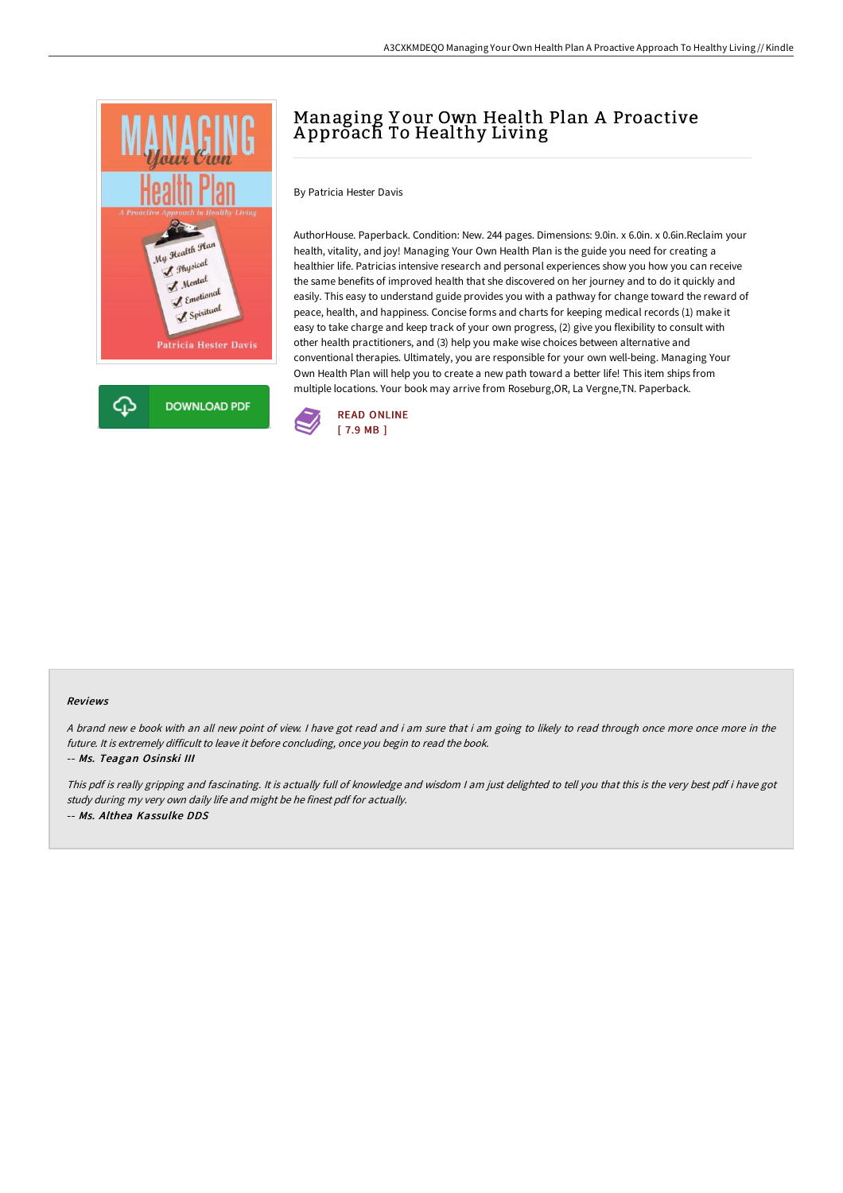

## Managing Y our Own Health Plan A Proactive A pproach To Healthy Living

By Patricia Hester Davis

AuthorHouse. Paperback. Condition: New. 244 pages. Dimensions: 9.0in. x 6.0in. x 0.6in.Reclaim your health, vitality, and joy! Managing Your Own Health Plan is the guide you need for creating a healthier life. Patricias intensive research and personal experiences show you how you can receive the same benefits of improved health that she discovered on her journey and to do it quickly and easily. This easy to understand guide provides you with a pathway for change toward the reward of peace, health, and happiness. Concise forms and charts for keeping medical records (1) make it easy to take charge and keep track of your own progress, (2) give you flexibility to consult with other health practitioners, and (3) help you make wise choices between alternative and conventional therapies. Ultimately, you are responsible for your own well-being. Managing Your Own Health Plan will help you to create a new path toward a better life! This item ships from multiple locations. Your book may arrive from Roseburg,OR, La Vergne,TN. Paperback.



## Reviews

<sup>A</sup> brand new <sup>e</sup> book with an all new point of view. <sup>I</sup> have got read and i am sure that i am going to likely to read through once more once more in the future. It is extremely difficult to leave it before concluding, once you begin to read the book. -- Ms. Teagan Osinski III

This pdf is really gripping and fascinating. It is actually full of knowledge and wisdom <sup>I</sup> am just delighted to tell you that this is the very best pdf i have got study during my very own daily life and might be he finest pdf for actually. -- Ms. Althea Kassulke DDS